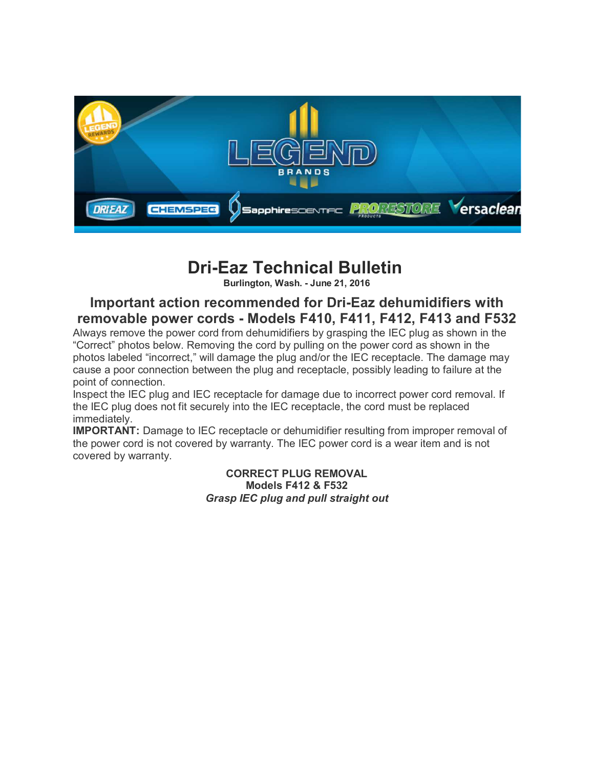

## **Dri-Eaz Technical Bulletin**

**Burlington, Wash. - June 21, 2016**

## **Important action recommended for Dri-Eaz dehumidifiers with removable power cords - Models F410, F411, F412, F413 and F532**

Always remove the power cord from dehumidifiers by grasping the IEC plug as shown in the "Correct" photos below. Removing the cord by pulling on the power cord as shown in the photos labeled "incorrect," will damage the plug and/or the IEC receptacle. The damage may cause a poor connection between the plug and receptacle, possibly leading to failure at the point of connection.

Inspect the IEC plug and IEC receptacle for damage due to incorrect power cord removal. If the IEC plug does not fit securely into the IEC receptacle, the cord must be replaced immediately.

**IMPORTANT:** Damage to IEC receptacle or dehumidifier resulting from improper removal of the power cord is not covered by warranty. The IEC power cord is a wear item and is not covered by warranty.

> **CORRECT PLUG REMOVAL Models F412 & F532**  *Grasp IEC plug and pull straight out*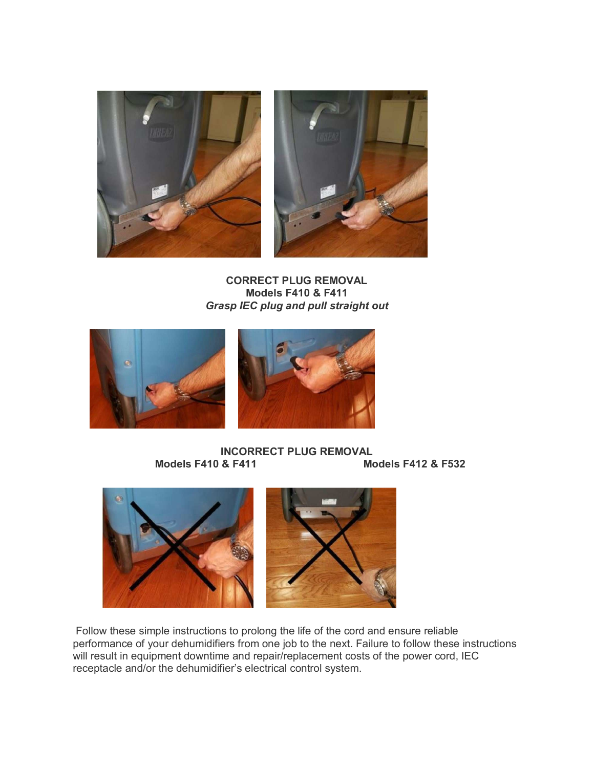

**CORRECT PLUG REMOVAL Models F410 & F411** *Grasp IEC plug and pull straight out*



## **INCORRECT PLUG REMOVAL**<br>Models F410 & F411 **Models F412 & F532**



 Follow these simple instructions to prolong the life of the cord and ensure reliable performance of your dehumidifiers from one job to the next. Failure to follow these instructions will result in equipment downtime and repair/replacement costs of the power cord, IEC receptacle and/or the dehumidifier's electrical control system.